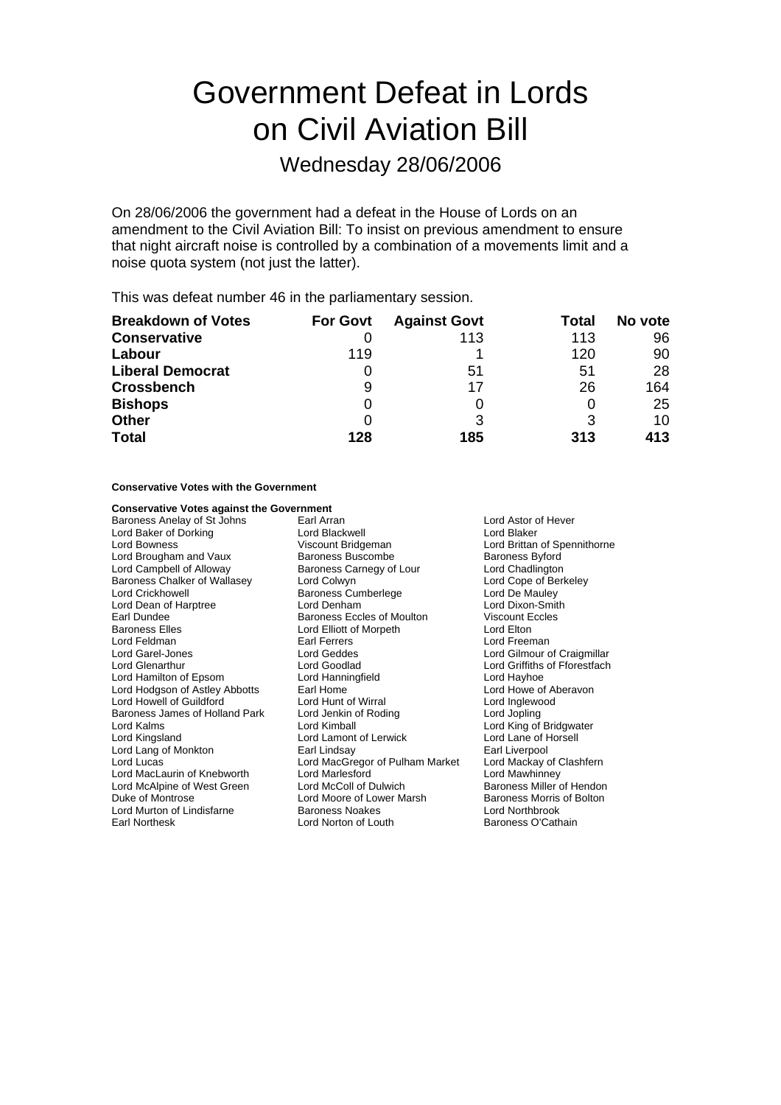# Government Defeat in Lords on Civil Aviation Bill

Wednesday 28/06/2006

On 28/06/2006 the government had a defeat in the House of Lords on an amendment to the Civil Aviation Bill: To insist on previous amendment to ensure that night aircraft noise is controlled by a combination of a movements limit and a noise quota system (not just the latter).

This was defeat number 46 in the parliamentary session.

| <b>Breakdown of Votes</b> | <b>For Govt</b> | <b>Against Govt</b> | Total | No vote |
|---------------------------|-----------------|---------------------|-------|---------|
| <b>Conservative</b>       |                 | 113                 | 113   | 96      |
| Labour                    | 119             |                     | 120   | 90      |
| <b>Liberal Democrat</b>   |                 | 51                  | 51    | 28      |
| <b>Crossbench</b>         | 9               | 17                  | 26    | 164     |
| <b>Bishops</b>            | 0               |                     | 0     | 25      |
| <b>Other</b>              |                 |                     | 3     | 10      |
| <b>Total</b>              | 128             | 185                 | 313   | 413     |

# **Conservative Votes with the Government**

# **Conservative Votes against the Government**

Baroness Anelay of St Johns **Earl Arran** Earl Arran **Lord Astor of Hever** Lord Baker of Dorking Lord Blackwell Lord Blaker Lord Brougham and Vaux Baroness Buscombe Baroness Byford<br>
Lord Campbell of Alloway Baroness Carnegy of Lour Lord Chadlington Lord Campbell of Alloway Baroness Carnegy of Lour Baroness Chalker of Wallasey Lord Colwyn Lord Cole Colore of Berkeley<br>
Lord Crickhowell **Collect Contains Computer Contains Cumberlege** Lord De Mauley Lord Dean of Harptree Earl Dundee **Baroness Eccles of Moulton** Viscount Eccles Controller Baroness Eccles of Moulton Viscount Eccles<br>
Baroness Elles **Baroness Eccles Controller Controller** Lord Elliott of Morpeth Baroness Elles **Lord Elliott of Morpeth**<br>
Lord Feldman **Lord Earl** Earl Ferrers Lord Garel-Jones Lord Geddes Lord Geddes Lord Gilmour of Craigmillar Lord Glenarthur **Lord Goodlad** Lord Goodlad Lord Griffiths of Fforestfach<br>
Lord Hanningfield
Lord Hanningfield
Lord Hanningfield
Lord Hanningfield
Lord Hanningfield
Lord Hanningfield
Lord Hanningfield
Lord Hanningfield
Lor Lord Hamilton of Epsom Lord Hanni Lord Hanningfield<br>
Lord Hodgson of Astley Abbotts Earl Home Carl Home Lord Howe of Aberavon Lord Hodgson of Astley Abbotts Earl Home<br>
Lord Howell of Guildford Lord Hunt of Wirral Lord Howell of Guildford Lord Hunt of Wirral Lord Inglewood Baroness James of Holland Park Lord Jenkin of Roding Lord Jopling Lord Kalms Lord Kimball Lord King of Bridgwater Lord Lang of Monkton Earl Lindsay Earl Liverpool Lord Lucas Lord MacGregor of Pulham Market Lord Mackay of Clashfern Lord MacLaurin of Knebworth Lord Marlesford Lord Mawhinney Lord McAlpine of West Green Lord McColl of Dulwich Duke of Montrose **Lord Moore of Lower Marsh** Baroness Morris of Bolton<br>
Lord Murton of Lindisfarne **Baroness Noakes** Lord Northbrook Lord Murton of Lindisfarne Earl Northesk Lord Norton of Louth Baroness O'Cathain

Viscount Bridgeman Lord Brittan of Spennithorne<br>
Baroness Buscombe<br>
Baroness Byford Exaroness Cumberlege Lord De Mauley<br>
Lord Denham<br>
Lord Dixon-Smith Earl Ferrers Lord Freeman<br>
Lord Geddes Lord Gilmour c Lord Lamont of Lerwick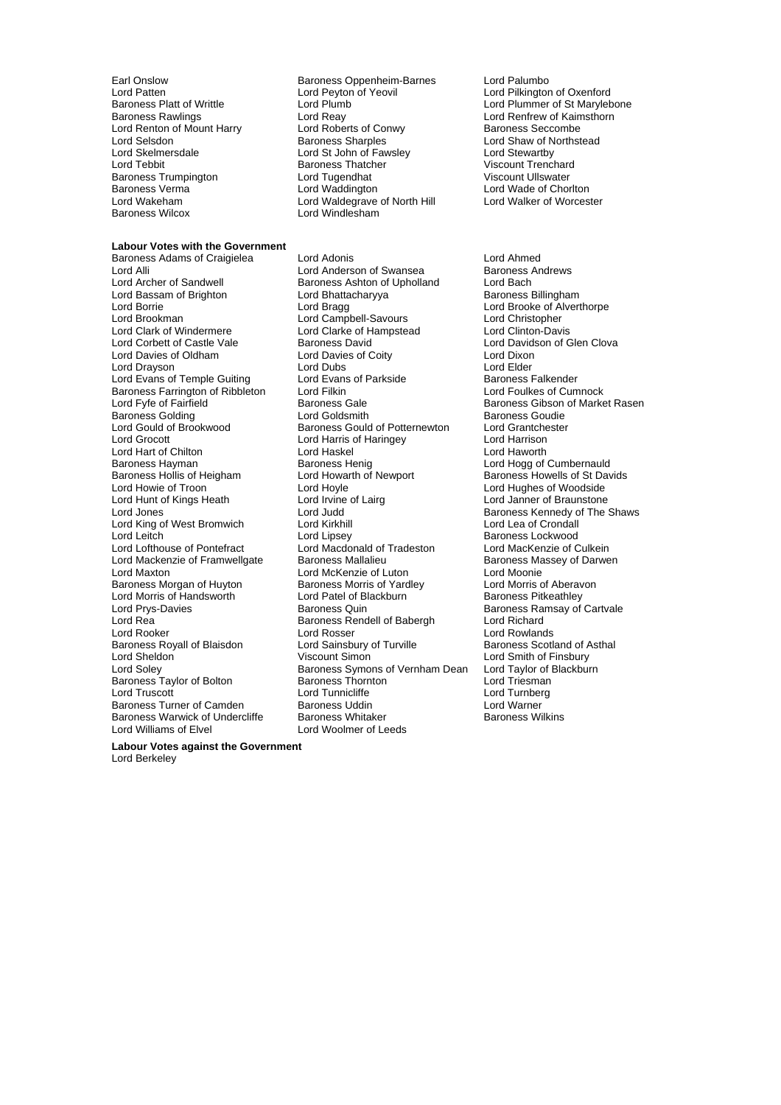Lord Renton of Mount Harry Lord Roberts of Concrete Lord Roberts of Control Control Baroness Sharples Lord Skelmersdale Lord St John of Fawsley<br>
Lord Tebbit Baroness Thatcher Baroness Trumpington **Example 1** Lord Tugendhat Baroness Verma

#### **Labour Votes with the Government**

Lord Alli Lord Anderson of Swansea<br>Lord Archer of Sandwell Baroness Ashton of Upholla Lord Bassam of Brighton Lord Bhatta<br>Lord Borries Baroness Baroness Baroness Baroness Baroness Baroness Baroness Baroness Baroness Baroness Barones Lord Davies of Oldham Baroness Farrington of Ribbleton Lord Filkin<br>Lord Fyfe of Fairfield Baroness Gale Lord Hunt of Kings Heath Lord Irvine of Lairg<br>
Lord Jones Lord Judd Lord King of West Bromwich Lord Kirkhill<br>
Lord Leitch Lord Lipsey Lord Morris of Handsworth Lord Patel of Bl<br>Lord Prvs-Davies **Baroness Quin** Baroness Taylor of Bolton Baroness Warwick of Undercliffe Baroness Whitaker<br>Lord Williams of Elvel Baroness Whitaker

Earl Onslow **Baroness Oppenheim-Barnes** Lord Palumbo<br>
Lord Patten Lord Peyton of Yeovil Cord Pilkingtor Lord Patten **Lord Peyton of Yeovil** Lord Patten Lord Pilkington of Oxenford<br>Baroness Platt of Writtle **Lord Pilkington Lord Pilkington Lord A** Lord Plummer of St Marvleb Baroness Platt of Writtle **Lord Plumb** Lord Plumb Lord Plummer of St Marylebone<br>Baroness Rawlings **Lord Realter Lord Realter Corp.** Lord Renfrew of Kaimsthorn Lord Reay Lord Renfrew of Kaimsthorn<br>
Lord Roberts of Conwy Baroness Seccombe Lord Selsdon **Baroness Sharples** Lord Shaw of Northstead Lord Skelmersdale Lord St Lord St John of Fawsley Lord Stewartby Lord Tuatcher Viscount Trenchard<br>
Lord Tugendhat Viscount Ullswater Lord Wakeham Lord Waldegrave of North Hill<br>
Baroness Wilcox<br>
Lord Windlesham Lord Windlesham

Baroness Adams of Craigielea Lord Adonis Lord Ahmed Baroness Ashton of Upholland Lord Bach<br>
Lord Bhattacharyya 
Baroness Billingham Lord Borrie Lord Bragg Lord Brooke of Alverthorpe Lord Campbell-Savours Lord Christopher Lord Clark of Windermere Lord Clarke of Hampstead Lord Clinton-Davis<br>
Lord Corbett of Castle Vale Baroness David Lord Davidson of C **Baroness David**<br>
Lord Davies of Coitv<br>
Lord Dixon<br>
Lord Dixon Lord Drayson **Lord Dubs** Lord Dubs Lord Elder Lord Elder<br>
Lord Evans of Temple Guiting Lord Evans of Parkside **Lord Baroness Falkender** Lord Evans of Temple Guiting Lord Evans of Parkside Baroness Falkender<br>Baroness Farrington of Ribbleton Lord Filkin Corp Lord Foulkes of Cumnock Baroness Golding The Lord Goldsmith Corporation Baroness Goudie<br>Lord Gould of Brookwood Baroness Gould of Potternewton Lord Grantchester Lord Gould of Brookwood Baroness Gould of Potternewton Lord Grantche<br>Lord Grocott Lord Harris of Haringey Lord Harrison Lord Harris of Haringey Lord Hart of Chilton Lord Haskel Lord Haworth Baroness Hayman **Baroness Henig** Baroness Henig Lord Hogg of Cumbernauld<br>Baroness Hollis of Heigham Lord Howarth of Newport Baroness Howells of St Dav Baroness Hollis of Heigham Lord Howarth of Newport Baroness Howells of St Davids<br>
Lord Hoyle Lord Hoyle Lord Hughes of Woodside Lord Hoyle<br>
Lord Irvine of Lairo<br>
Lord Janner of Braunstone Lord Jones The Shaws Lord Judd Cord Judd Baroness Kennedy of The Shaws<br>
Lord King of West Bromwich Lord Kirkhill Lord Cord Lea of Crondall Lord Lofthouse of Pontefract Lord Macdonald of Tradeston Lord MacKenzie of Culkein<br>Lord Mackenzie of Framwellgate Baroness Mallalieu Baroness Massey of Darwen Lord Mackenzie of Framwellgate Baroness Mallalieu Baroness Manuscus Baroness Ma<br>Lord Maxton Baroness Mackenzie of Luton Lord Moonie Lord Maxton **Lord McKenzie of Luton** Lord Moonie<br>
Baroness Morgan of Huyton **Baroness Morris of Yardley** Lord Morris of Aberavon Baroness Morgan of Huyton Baroness Morris of Yardley Lord Morris of Aberav<br>
Lord Morris of Handsworth Lord Patel of Blackburn Baroness Pitkeathley Lord Rea **Baroness Rendell of Babergh** Lord Richard Lord Rooker Lord Rosser Lord Rosser Lord Rowlands<br>
Baroness Royall of Blaisdon Lord Sainsbury of Turville Baroness Scotla Baroness Royall of Blaisdon Lord Sainsbury of Turville Baroness Scotland of Asthal<br>
Lord Sheldon Ciscount Simon Ciscount Simon Lord Smith of Finsbury Lord Sheldon **Viscount Simon** Lord Smith of Finsbury<br>
Lord Soley **Connect Symon Connect Symons of Vernham Dean** Lord Taylor of Blackburn Baroness Symons of Vernham Dean Lord Taylor of Baroness Thornton Lord Triesman Lord Truscott **Cammicular Lord Turnicliffe** Lord Turnberg<br>
Baroness Turner of Camden Baroness Uddin Lord Warner Baroness Turner of Camden Baroness Uddin Furner and Lord Warner Communist Communist Communist Communist Commun<br>Baroness Warwick of Undercliffe Baroness Whitaker Furner Baroness Wilkins Lord Woolmer of Leeds

Lord Wade of Chorlton<br>Lord Walker of Worcester

**Baroness Gibson of Market Rasen** Baroness Lockwood Baroness Ramsay of Cartvale

**Labour Votes against the Government** Lord Berkeley